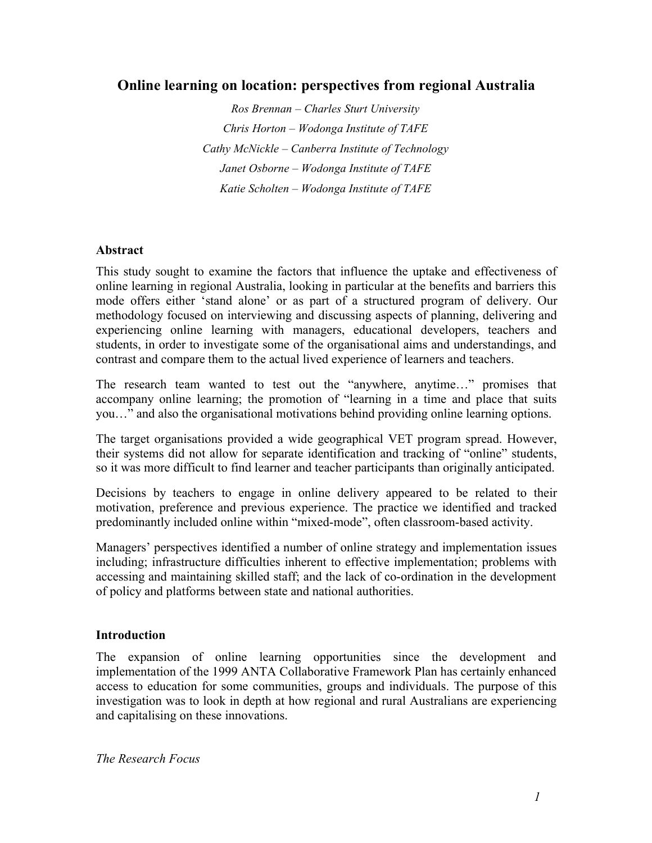# **Online learning on location: perspectives from regional Australia**

*Ros Brennan – Charles Sturt University Chris Horton – Wodonga Institute of TAFE Cathy McNickle – Canberra Institute of Technology Janet Osborne – Wodonga Institute of TAFE Katie Scholten – Wodonga Institute of TAFE*

### **Abstract**

This study sought to examine the factors that influence the uptake and effectiveness of online learning in regional Australia, looking in particular at the benefits and barriers this mode offers either 'stand alone' or as part of a structured program of delivery. Our methodology focused on interviewing and discussing aspects of planning, delivering and experiencing online learning with managers, educational developers, teachers and students, in order to investigate some of the organisational aims and understandings, and contrast and compare them to the actual lived experience of learners and teachers.

The research team wanted to test out the "anywhere, anytime…" promises that accompany online learning; the promotion of "learning in a time and place that suits you…" and also the organisational motivations behind providing online learning options.

The target organisations provided a wide geographical VET program spread. However, their systems did not allow for separate identification and tracking of "online" students, so it was more difficult to find learner and teacher participants than originally anticipated.

Decisions by teachers to engage in online delivery appeared to be related to their motivation, preference and previous experience. The practice we identified and tracked predominantly included online within "mixed-mode", often classroom-based activity.

Managers' perspectives identified a number of online strategy and implementation issues including; infrastructure difficulties inherent to effective implementation; problems with accessing and maintaining skilled staff; and the lack of co-ordination in the development of policy and platforms between state and national authorities.

### **Introduction**

The expansion of online learning opportunities since the development and implementation of the 1999 ANTA Collaborative Framework Plan has certainly enhanced access to education for some communities, groups and individuals. The purpose of this investigation was to look in depth at how regional and rural Australians are experiencing and capitalising on these innovations.

*The Research Focus*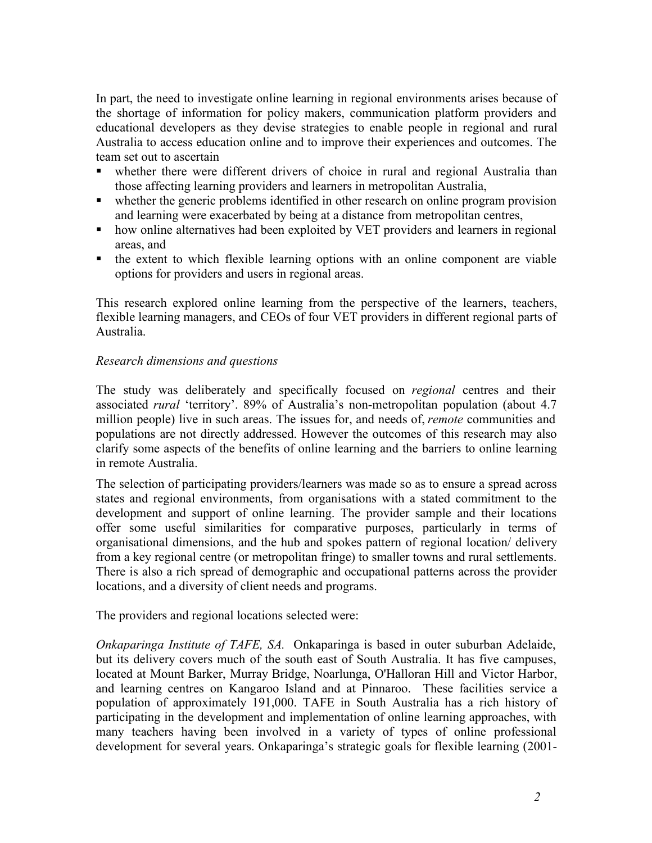In part, the need to investigate online learning in regional environments arises because of the shortage of information for policy makers, communication platform providers and educational developers as they devise strategies to enable people in regional and rural Australia to access education online and to improve their experiences and outcomes. The team set out to ascertain

- whether there were different drivers of choice in rural and regional Australia than those affecting learning providers and learners in metropolitan Australia,
- whether the generic problems identified in other research on online program provision and learning were exacerbated by being at a distance from metropolitan centres,
- how online alternatives had been exploited by VET providers and learners in regional areas, and
- the extent to which flexible learning options with an online component are viable options for providers and users in regional areas.

This research explored online learning from the perspective of the learners, teachers, flexible learning managers, and CEOs of four VET providers in different regional parts of Australia.

### *Research dimensions and questions*

The study was deliberately and specifically focused on *regional* centres and their associated *rural* 'territory'. 89% of Australia's non-metropolitan population (about 4.7 million people) live in such areas. The issues for, and needs of, *remote* communities and populations are not directly addressed. However the outcomes of this research may also clarify some aspects of the benefits of online learning and the barriers to online learning in remote Australia.

The selection of participating providers/learners was made so as to ensure a spread across states and regional environments, from organisations with a stated commitment to the development and support of online learning. The provider sample and their locations offer some useful similarities for comparative purposes, particularly in terms of organisational dimensions, and the hub and spokes pattern of regional location/ delivery from a key regional centre (or metropolitan fringe) to smaller towns and rural settlements. There is also a rich spread of demographic and occupational patterns across the provider locations, and a diversity of client needs and programs.

The providers and regional locations selected were:

*Onkaparinga Institute of TAFE, SA.* Onkaparinga is based in outer suburban Adelaide, but its delivery covers much of the south east of South Australia. It has five campuses, located at Mount Barker, Murray Bridge, Noarlunga, O'Halloran Hill and Victor Harbor, and learning centres on Kangaroo Island and at Pinnaroo. These facilities service a population of approximately 191,000. TAFE in South Australia has a rich history of participating in the development and implementation of online learning approaches, with many teachers having been involved in a variety of types of online professional development for several years. Onkaparinga's strategic goals for flexible learning (2001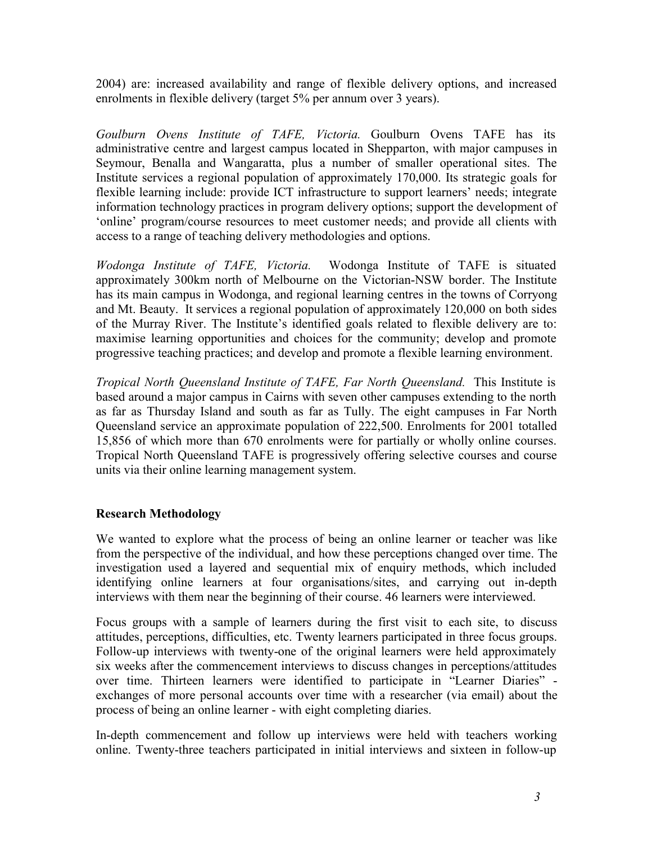2004) are: increased availability and range of flexible delivery options, and increased enrolments in flexible delivery (target 5% per annum over 3 years).

*Goulburn Ovens Institute of TAFE, Victoria.* Goulburn Ovens TAFE has its administrative centre and largest campus located in Shepparton, with major campuses in Seymour, Benalla and Wangaratta, plus a number of smaller operational sites. The Institute services a regional population of approximately 170,000. Its strategic goals for flexible learning include: provide ICT infrastructure to support learners' needs; integrate information technology practices in program delivery options; support the development of 'online' program/course resources to meet customer needs; and provide all clients with access to a range of teaching delivery methodologies and options.

*Wodonga Institute of TAFE, Victoria.* Wodonga Institute of TAFE is situated approximately 300km north of Melbourne on the Victorian-NSW border. The Institute has its main campus in Wodonga, and regional learning centres in the towns of Corryong and Mt. Beauty. It services a regional population of approximately 120,000 on both sides of the Murray River. The Institute's identified goals related to flexible delivery are to: maximise learning opportunities and choices for the community; develop and promote progressive teaching practices; and develop and promote a flexible learning environment.

*Tropical North Queensland Institute of TAFE, Far North Queensland.* This Institute is based around a major campus in Cairns with seven other campuses extending to the north as far as Thursday Island and south as far as Tully. The eight campuses in Far North Queensland service an approximate population of 222,500. Enrolments for 2001 totalled 15,856 of which more than 670 enrolments were for partially or wholly online courses. Tropical North Queensland TAFE is progressively offering selective courses and course units via their online learning management system.

# **Research Methodology**

We wanted to explore what the process of being an online learner or teacher was like from the perspective of the individual, and how these perceptions changed over time. The investigation used a layered and sequential mix of enquiry methods, which included identifying online learners at four organisations/sites, and carrying out in-depth interviews with them near the beginning of their course. 46 learners were interviewed.

Focus groups with a sample of learners during the first visit to each site, to discuss attitudes, perceptions, difficulties, etc. Twenty learners participated in three focus groups. Follow-up interviews with twenty-one of the original learners were held approximately six weeks after the commencement interviews to discuss changes in perceptions/attitudes over time. Thirteen learners were identified to participate in "Learner Diaries" exchanges of more personal accounts over time with a researcher (via email) about the process of being an online learner - with eight completing diaries.

In-depth commencement and follow up interviews were held with teachers working online. Twenty-three teachers participated in initial interviews and sixteen in follow-up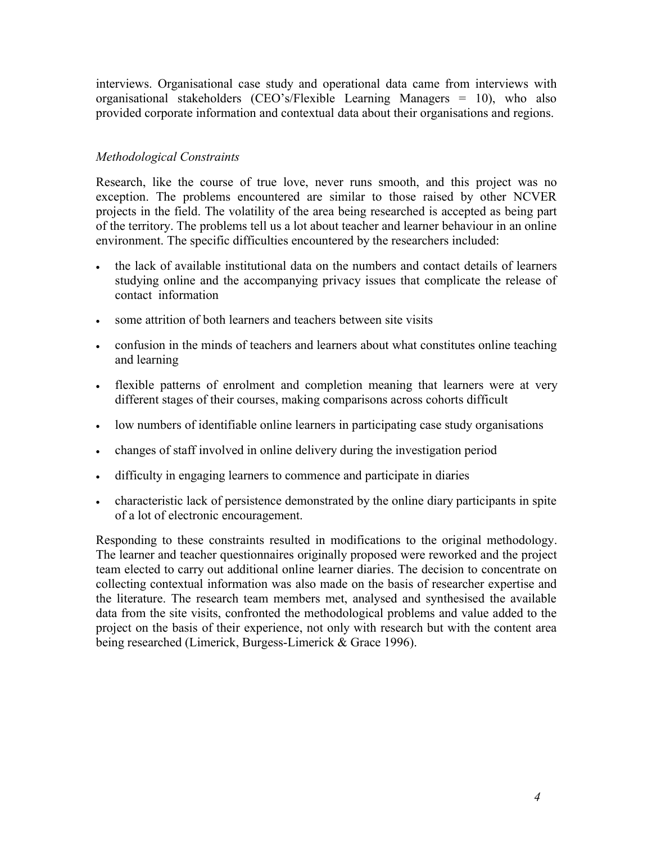interviews. Organisational case study and operational data came from interviews with organisational stakeholders (CEO's/Flexible Learning Managers = 10), who also provided corporate information and contextual data about their organisations and regions.

### *Methodological Constraints*

Research, like the course of true love, never runs smooth, and this project was no exception. The problems encountered are similar to those raised by other NCVER projects in the field. The volatility of the area being researched is accepted as being part of the territory. The problems tell us a lot about teacher and learner behaviour in an online environment. The specific difficulties encountered by the researchers included:

- the lack of available institutional data on the numbers and contact details of learners studying online and the accompanying privacy issues that complicate the release of contact information
- some attrition of both learners and teachers between site visits
- confusion in the minds of teachers and learners about what constitutes online teaching and learning
- flexible patterns of enrolment and completion meaning that learners were at very different stages of their courses, making comparisons across cohorts difficult
- low numbers of identifiable online learners in participating case study organisations
- changes of staff involved in online delivery during the investigation period
- difficulty in engaging learners to commence and participate in diaries
- characteristic lack of persistence demonstrated by the online diary participants in spite of a lot of electronic encouragement.

Responding to these constraints resulted in modifications to the original methodology. The learner and teacher questionnaires originally proposed were reworked and the project team elected to carry out additional online learner diaries. The decision to concentrate on collecting contextual information was also made on the basis of researcher expertise and the literature. The research team members met, analysed and synthesised the available data from the site visits, confronted the methodological problems and value added to the project on the basis of their experience, not only with research but with the content area being researched (Limerick, Burgess-Limerick & Grace 1996).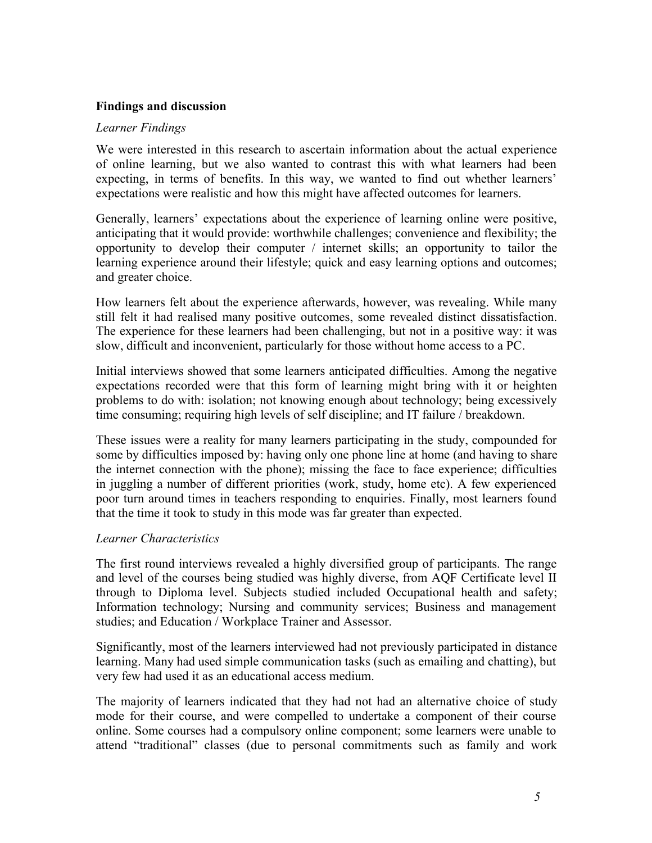### **Findings and discussion**

#### *Learner Findings*

We were interested in this research to ascertain information about the actual experience of online learning, but we also wanted to contrast this with what learners had been expecting, in terms of benefits. In this way, we wanted to find out whether learners' expectations were realistic and how this might have affected outcomes for learners.

Generally, learners' expectations about the experience of learning online were positive, anticipating that it would provide: worthwhile challenges; convenience and flexibility; the opportunity to develop their computer / internet skills; an opportunity to tailor the learning experience around their lifestyle; quick and easy learning options and outcomes; and greater choice.

How learners felt about the experience afterwards, however, was revealing. While many still felt it had realised many positive outcomes, some revealed distinct dissatisfaction. The experience for these learners had been challenging, but not in a positive way: it was slow, difficult and inconvenient, particularly for those without home access to a PC.

Initial interviews showed that some learners anticipated difficulties. Among the negative expectations recorded were that this form of learning might bring with it or heighten problems to do with: isolation; not knowing enough about technology; being excessively time consuming; requiring high levels of self discipline; and IT failure / breakdown.

These issues were a reality for many learners participating in the study, compounded for some by difficulties imposed by: having only one phone line at home (and having to share the internet connection with the phone); missing the face to face experience; difficulties in juggling a number of different priorities (work, study, home etc). A few experienced poor turn around times in teachers responding to enquiries. Finally, most learners found that the time it took to study in this mode was far greater than expected.

### *Learner Characteristics*

The first round interviews revealed a highly diversified group of participants. The range and level of the courses being studied was highly diverse, from AQF Certificate level II through to Diploma level. Subjects studied included Occupational health and safety; Information technology; Nursing and community services; Business and management studies; and Education / Workplace Trainer and Assessor.

Significantly, most of the learners interviewed had not previously participated in distance learning. Many had used simple communication tasks (such as emailing and chatting), but very few had used it as an educational access medium.

The majority of learners indicated that they had not had an alternative choice of study mode for their course, and were compelled to undertake a component of their course online. Some courses had a compulsory online component; some learners were unable to attend "traditional" classes (due to personal commitments such as family and work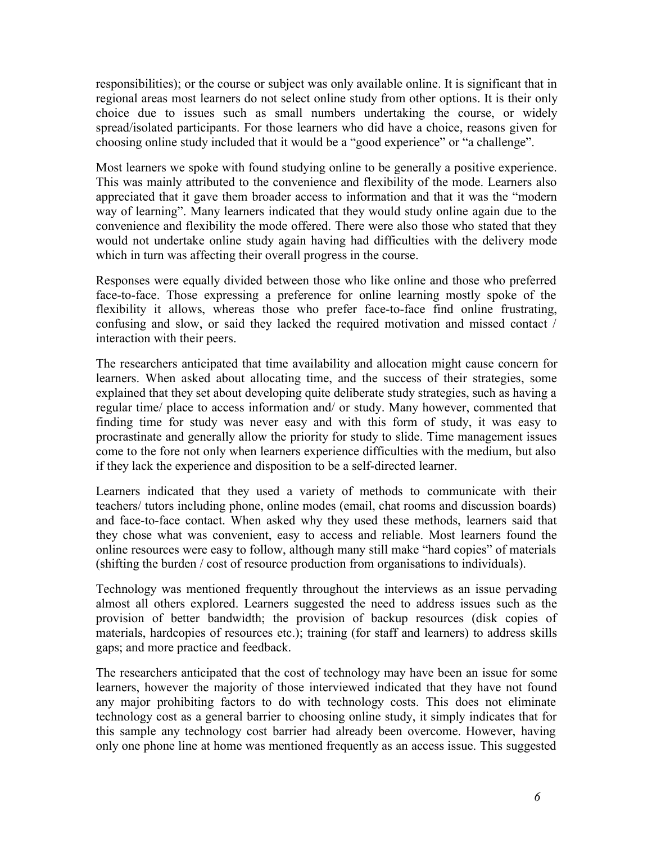responsibilities); or the course or subject was only available online. It is significant that in regional areas most learners do not select online study from other options. It is their only choice due to issues such as small numbers undertaking the course, or widely spread/isolated participants. For those learners who did have a choice, reasons given for choosing online study included that it would be a "good experience" or "a challenge".

Most learners we spoke with found studying online to be generally a positive experience. This was mainly attributed to the convenience and flexibility of the mode. Learners also appreciated that it gave them broader access to information and that it was the "modern way of learning". Many learners indicated that they would study online again due to the convenience and flexibility the mode offered. There were also those who stated that they would not undertake online study again having had difficulties with the delivery mode which in turn was affecting their overall progress in the course.

Responses were equally divided between those who like online and those who preferred face-to-face. Those expressing a preference for online learning mostly spoke of the flexibility it allows, whereas those who prefer face-to-face find online frustrating, confusing and slow, or said they lacked the required motivation and missed contact / interaction with their peers.

The researchers anticipated that time availability and allocation might cause concern for learners. When asked about allocating time, and the success of their strategies, some explained that they set about developing quite deliberate study strategies, such as having a regular time/ place to access information and/ or study. Many however, commented that finding time for study was never easy and with this form of study, it was easy to procrastinate and generally allow the priority for study to slide. Time management issues come to the fore not only when learners experience difficulties with the medium, but also if they lack the experience and disposition to be a self-directed learner.

Learners indicated that they used a variety of methods to communicate with their teachers/ tutors including phone, online modes (email, chat rooms and discussion boards) and face-to-face contact. When asked why they used these methods, learners said that they chose what was convenient, easy to access and reliable. Most learners found the online resources were easy to follow, although many still make "hard copies" of materials (shifting the burden / cost of resource production from organisations to individuals).

Technology was mentioned frequently throughout the interviews as an issue pervading almost all others explored. Learners suggested the need to address issues such as the provision of better bandwidth; the provision of backup resources (disk copies of materials, hardcopies of resources etc.); training (for staff and learners) to address skills gaps; and more practice and feedback.

The researchers anticipated that the cost of technology may have been an issue for some learners, however the majority of those interviewed indicated that they have not found any major prohibiting factors to do with technology costs. This does not eliminate technology cost as a general barrier to choosing online study, it simply indicates that for this sample any technology cost barrier had already been overcome. However, having only one phone line at home was mentioned frequently as an access issue. This suggested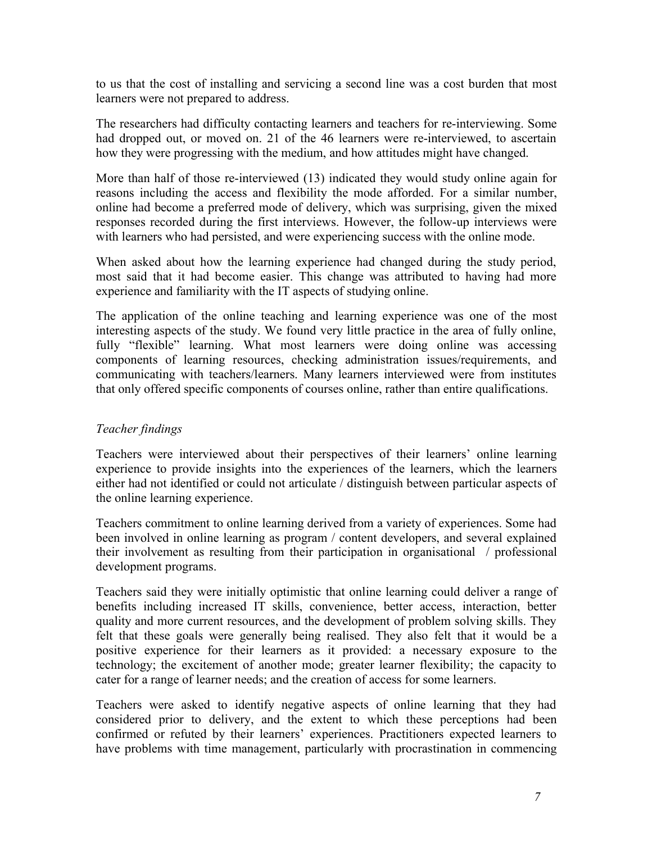to us that the cost of installing and servicing a second line was a cost burden that most learners were not prepared to address.

The researchers had difficulty contacting learners and teachers for re-interviewing. Some had dropped out, or moved on. 21 of the 46 learners were re-interviewed, to ascertain how they were progressing with the medium, and how attitudes might have changed.

More than half of those re-interviewed (13) indicated they would study online again for reasons including the access and flexibility the mode afforded. For a similar number, online had become a preferred mode of delivery, which was surprising, given the mixed responses recorded during the first interviews. However, the follow-up interviews were with learners who had persisted, and were experiencing success with the online mode.

When asked about how the learning experience had changed during the study period, most said that it had become easier. This change was attributed to having had more experience and familiarity with the IT aspects of studying online.

The application of the online teaching and learning experience was one of the most interesting aspects of the study. We found very little practice in the area of fully online, fully "flexible" learning. What most learners were doing online was accessing components of learning resources, checking administration issues/requirements, and communicating with teachers/learners. Many learners interviewed were from institutes that only offered specific components of courses online, rather than entire qualifications.

### *Teacher findings*

Teachers were interviewed about their perspectives of their learners' online learning experience to provide insights into the experiences of the learners, which the learners either had not identified or could not articulate / distinguish between particular aspects of the online learning experience.

Teachers commitment to online learning derived from a variety of experiences. Some had been involved in online learning as program / content developers, and several explained their involvement as resulting from their participation in organisational / professional development programs.

Teachers said they were initially optimistic that online learning could deliver a range of benefits including increased IT skills, convenience, better access, interaction, better quality and more current resources, and the development of problem solving skills. They felt that these goals were generally being realised. They also felt that it would be a positive experience for their learners as it provided: a necessary exposure to the technology; the excitement of another mode; greater learner flexibility; the capacity to cater for a range of learner needs; and the creation of access for some learners.

Teachers were asked to identify negative aspects of online learning that they had considered prior to delivery, and the extent to which these perceptions had been confirmed or refuted by their learners' experiences. Practitioners expected learners to have problems with time management, particularly with procrastination in commencing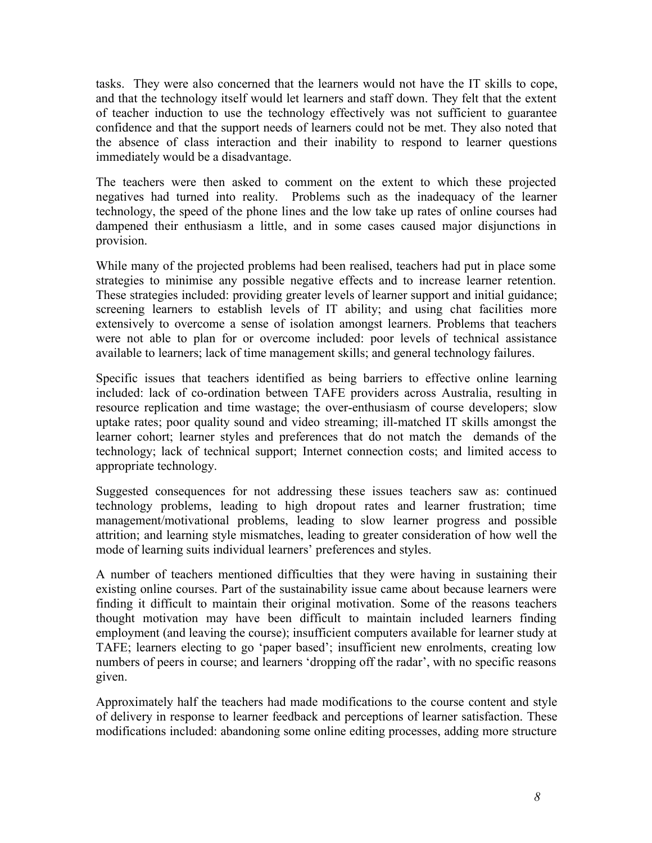tasks. They were also concerned that the learners would not have the IT skills to cope, and that the technology itself would let learners and staff down. They felt that the extent of teacher induction to use the technology effectively was not sufficient to guarantee confidence and that the support needs of learners could not be met. They also noted that the absence of class interaction and their inability to respond to learner questions immediately would be a disadvantage.

The teachers were then asked to comment on the extent to which these projected negatives had turned into reality. Problems such as the inadequacy of the learner technology, the speed of the phone lines and the low take up rates of online courses had dampened their enthusiasm a little, and in some cases caused major disjunctions in provision.

While many of the projected problems had been realised, teachers had put in place some strategies to minimise any possible negative effects and to increase learner retention. These strategies included: providing greater levels of learner support and initial guidance; screening learners to establish levels of IT ability; and using chat facilities more extensively to overcome a sense of isolation amongst learners. Problems that teachers were not able to plan for or overcome included: poor levels of technical assistance available to learners; lack of time management skills; and general technology failures.

Specific issues that teachers identified as being barriers to effective online learning included: lack of co-ordination between TAFE providers across Australia, resulting in resource replication and time wastage; the over-enthusiasm of course developers; slow uptake rates; poor quality sound and video streaming; ill-matched IT skills amongst the learner cohort; learner styles and preferences that do not match the demands of the technology; lack of technical support; Internet connection costs; and limited access to appropriate technology.

Suggested consequences for not addressing these issues teachers saw as: continued technology problems, leading to high dropout rates and learner frustration; time management/motivational problems, leading to slow learner progress and possible attrition; and learning style mismatches, leading to greater consideration of how well the mode of learning suits individual learners' preferences and styles.

A number of teachers mentioned difficulties that they were having in sustaining their existing online courses. Part of the sustainability issue came about because learners were finding it difficult to maintain their original motivation. Some of the reasons teachers thought motivation may have been difficult to maintain included learners finding employment (and leaving the course); insufficient computers available for learner study at TAFE; learners electing to go 'paper based'; insufficient new enrolments, creating low numbers of peers in course; and learners 'dropping off the radar', with no specific reasons given.

Approximately half the teachers had made modifications to the course content and style of delivery in response to learner feedback and perceptions of learner satisfaction. These modifications included: abandoning some online editing processes, adding more structure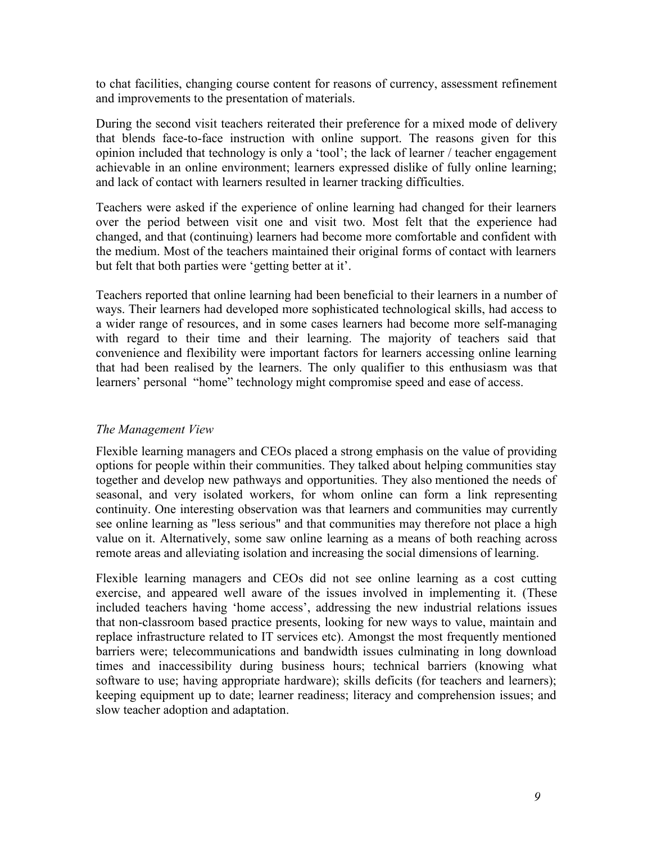to chat facilities, changing course content for reasons of currency, assessment refinement and improvements to the presentation of materials.

During the second visit teachers reiterated their preference for a mixed mode of delivery that blends face-to-face instruction with online support. The reasons given for this opinion included that technology is only a 'tool'; the lack of learner / teacher engagement achievable in an online environment; learners expressed dislike of fully online learning; and lack of contact with learners resulted in learner tracking difficulties.

Teachers were asked if the experience of online learning had changed for their learners over the period between visit one and visit two. Most felt that the experience had changed, and that (continuing) learners had become more comfortable and confident with the medium. Most of the teachers maintained their original forms of contact with learners but felt that both parties were 'getting better at it'.

Teachers reported that online learning had been beneficial to their learners in a number of ways. Their learners had developed more sophisticated technological skills, had access to a wider range of resources, and in some cases learners had become more self-managing with regard to their time and their learning. The majority of teachers said that convenience and flexibility were important factors for learners accessing online learning that had been realised by the learners. The only qualifier to this enthusiasm was that learners' personal "home" technology might compromise speed and ease of access.

### *The Management View*

Flexible learning managers and CEOs placed a strong emphasis on the value of providing options for people within their communities. They talked about helping communities stay together and develop new pathways and opportunities. They also mentioned the needs of seasonal, and very isolated workers, for whom online can form a link representing continuity. One interesting observation was that learners and communities may currently see online learning as "less serious" and that communities may therefore not place a high value on it. Alternatively, some saw online learning as a means of both reaching across remote areas and alleviating isolation and increasing the social dimensions of learning.

Flexible learning managers and CEOs did not see online learning as a cost cutting exercise, and appeared well aware of the issues involved in implementing it. (These included teachers having 'home access', addressing the new industrial relations issues that non-classroom based practice presents, looking for new ways to value, maintain and replace infrastructure related to IT services etc). Amongst the most frequently mentioned barriers were; telecommunications and bandwidth issues culminating in long download times and inaccessibility during business hours; technical barriers (knowing what software to use; having appropriate hardware); skills deficits (for teachers and learners); keeping equipment up to date; learner readiness; literacy and comprehension issues; and slow teacher adoption and adaptation.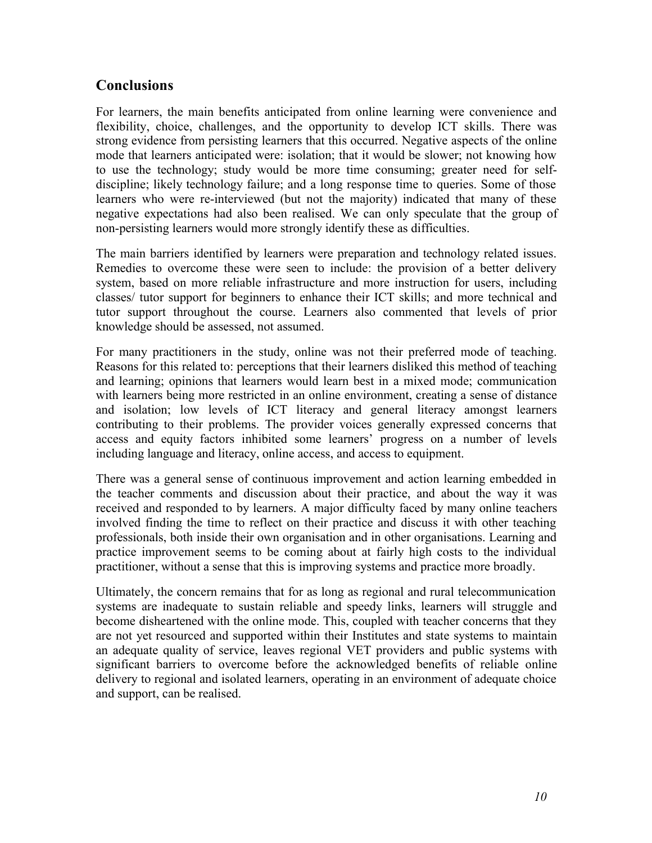# **Conclusions**

For learners, the main benefits anticipated from online learning were convenience and flexibility, choice, challenges, and the opportunity to develop ICT skills. There was strong evidence from persisting learners that this occurred. Negative aspects of the online mode that learners anticipated were: isolation; that it would be slower; not knowing how to use the technology; study would be more time consuming; greater need for selfdiscipline; likely technology failure; and a long response time to queries. Some of those learners who were re-interviewed (but not the majority) indicated that many of these negative expectations had also been realised. We can only speculate that the group of non-persisting learners would more strongly identify these as difficulties.

The main barriers identified by learners were preparation and technology related issues. Remedies to overcome these were seen to include: the provision of a better delivery system, based on more reliable infrastructure and more instruction for users, including classes/ tutor support for beginners to enhance their ICT skills; and more technical and tutor support throughout the course. Learners also commented that levels of prior knowledge should be assessed, not assumed.

For many practitioners in the study, online was not their preferred mode of teaching. Reasons for this related to: perceptions that their learners disliked this method of teaching and learning; opinions that learners would learn best in a mixed mode; communication with learners being more restricted in an online environment, creating a sense of distance and isolation; low levels of ICT literacy and general literacy amongst learners contributing to their problems. The provider voices generally expressed concerns that access and equity factors inhibited some learners' progress on a number of levels including language and literacy, online access, and access to equipment.

There was a general sense of continuous improvement and action learning embedded in the teacher comments and discussion about their practice, and about the way it was received and responded to by learners. A major difficulty faced by many online teachers involved finding the time to reflect on their practice and discuss it with other teaching professionals, both inside their own organisation and in other organisations. Learning and practice improvement seems to be coming about at fairly high costs to the individual practitioner, without a sense that this is improving systems and practice more broadly.

Ultimately, the concern remains that for as long as regional and rural telecommunication systems are inadequate to sustain reliable and speedy links, learners will struggle and become disheartened with the online mode. This, coupled with teacher concerns that they are not yet resourced and supported within their Institutes and state systems to maintain an adequate quality of service, leaves regional VET providers and public systems with significant barriers to overcome before the acknowledged benefits of reliable online delivery to regional and isolated learners, operating in an environment of adequate choice and support, can be realised.